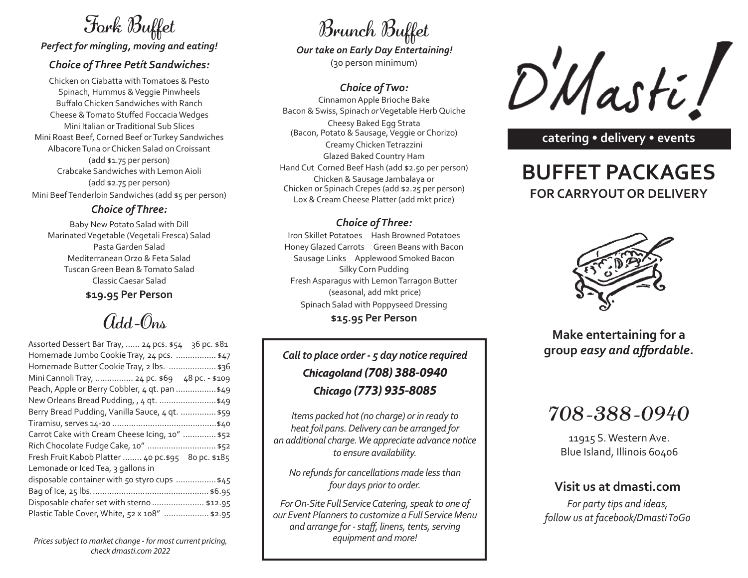# Fork Buffet

*Perfect for mingling, moving and eating!*

#### *Choice of Three Petít Sandwiches:*

Chicken on Ciabatta with Tomatoes & Pesto Spinach, Hummus & Veggie Pinwheels Buffalo Chicken Sandwiches with Ranch Cheese & Tomato Stuffed Foccacia Wedges Mini Italian or Traditional Sub Slices Mini Roast Beef, Corned Beef or Turkey Sandwiches Albacore Tuna or Chicken Salad on Croissant (add \$1.75 per person) Crabcake Sandwiches with Lemon Aioli (add \$2.75 per person) Mini Beef Tenderloin Sandwiches (add \$5 per person)

#### *Choice of Three:*

Baby New Potato Salad with Dill Marinated Vegetable (Vegetali Fresca) Salad Pasta Garden Salad Mediterranean Orzo & Feta Salad Tuscan Green Bean & Tomato Salad Classic Caesar Salad **\$19.95 Per Person**

## $G_{dd}$ - $\hat{O}_{nn}$

| Assorted Dessert Bar Tray,  24 pcs. \$54 36 pc. \$81 |
|------------------------------------------------------|
| Homemade Jumbo Cookie Tray, 24 pcs.  \$47            |
| Homemade Butter Cookie Tray, 2 lbs.  \$36            |
| Mini Cannoli Tray,  24 pc. \$69 48 pc. - \$109       |
| Peach, Apple or Berry Cobbler, 4 qt. pan \$49        |
| New Orleans Bread Pudding, , 4 qt.  \$49             |
| Berry Bread Pudding, Vanilla Sauce, 4 qt.  \$59      |
|                                                      |
| Carrot Cake with Cream Cheese Icing, 10"  \$52       |
| Rich Chocolate Fudge Cake, 10"  \$52                 |
| Fresh Fruit Kabob Platter  40 pc.\$95 80 pc. \$185   |
| Lemonade or Iced Tea, 3 gallons in                   |
| disposable container with 50 styro cups  \$45        |
|                                                      |
| Disposable chafer set with sterno  \$12.95           |
| Plastic Table Cover, White, 52 x 108"  \$2.95        |

*Prices subject to market change - for most current pricing, check dmasti.com 2022*

# Brunch Buffet

(30 person minimum) *Our take on Early Day Entertaining!*

#### *Choice of Two:*

Cinnamon Apple Brioche Bake Bacon & Swiss, Spinach *or* Vegetable Herb Quiche Cheesy Baked Egg Strata (Bacon, Potato & Sausage, Veggie or Chorizo) Creamy Chicken Tetrazzini Glazed Baked Country Ham Hand Cut Corned Beef Hash (add \$2.50 per person) Chicken & Sausage Jambalaya or Chicken or Spinach Crepes (add \$2.25 per person) Lox & Cream Cheese Platter (add mkt price)

#### *Choice of Three:*

Iron Skillet Potatoes Hash Browned Potatoes Honey Glazed Carrots Green Beans with Bacon Sausage Links Applewood Smoked Bacon Silky Corn Pudding Fresh Asparagus with Lemon Tarragon Butter (seasonal, add mkt price) Spinach Salad with Poppyseed Dressing **\$15.95 Per Person**

### *Call to place order - 5 day notice required Chicagoland (708) 388-0940 Chicago (773) 935-8085*

*Items packed hot (no charge) or in ready to heat foil pans. Delivery can be arranged for an additional charge. We appreciate advance notice to ensure availability.*

*No refunds for cancellations made less than four days prior to order.*

*For On-Site Full Service Catering, speak to one of our Event Planners to customize a Full Service Menu and arrange for - staff, linens, tents, serving equipment and more!*



**catering • delivery • events**

### **BUFFET PACKAGES FOR CARRYOUT OR DELIVERY**



**Make entertaining for a group** *easy and affordable.*

### 708-388-0940

11915 S. Western Ave. Blue Island, Illinois 60406

#### **Visit us at dmasti.com**

*For party tips and ideas, follow us at facebook/Dmasti ToGo*